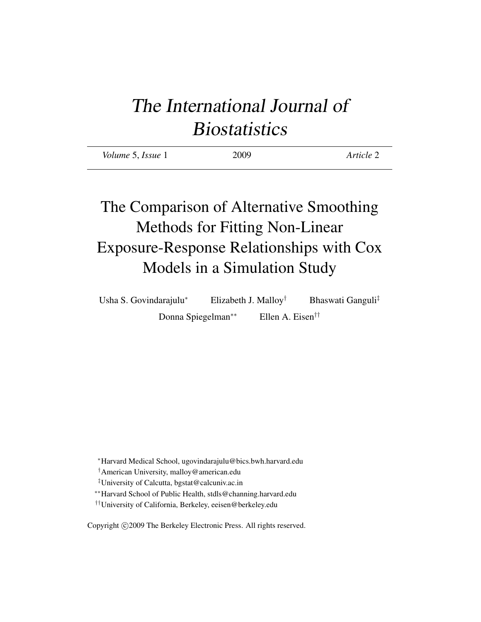# The International Journal of **Biostatistics**

| Volume 5, Issue 1 | 2009 | Article 2 |
|-------------------|------|-----------|
|                   |      |           |

# The Comparison of Alternative Smoothing Methods for Fitting Non-Linear Exposure-Response Relationships with Cox Models in a Simulation Study

Usha S. Govindarajulu<sup>∗</sup> Elizabeth J. Malloy† Bhaswati Ganguli‡ Donna Spiegelman∗∗ Ellen A. Eisen††

<sup>∗</sup>Harvard Medical School, ugovindarajulu@bics.bwh.harvard.edu

†American University, malloy@american.edu

‡University of Calcutta, bgstat@calcuniv.ac.in

∗∗Harvard School of Public Health, stdls@channing.harvard.edu

††University of California, Berkeley, eeisen@berkeley.edu

Copyright © 2009 The Berkeley Electronic Press. All rights reserved.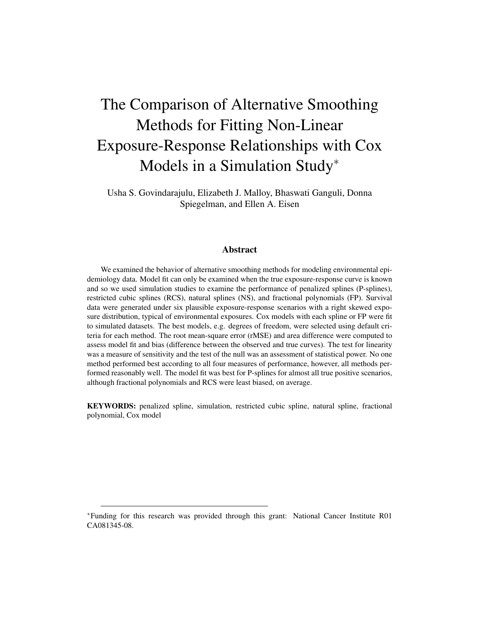# The Comparison of Alternative Smoothing Methods for Fitting Non-Linear Exposure-Response Relationships with Cox Models in a Simulation Study<sup>∗</sup>

Usha S. Govindarajulu, Elizabeth J. Malloy, Bhaswati Ganguli, Donna Spiegelman, and Ellen A. Eisen

#### Abstract

We examined the behavior of alternative smoothing methods for modeling environmental epidemiology data. Model fit can only be examined when the true exposure-response curve is known and so we used simulation studies to examine the performance of penalized splines (P-splines), restricted cubic splines (RCS), natural splines (NS), and fractional polynomials (FP). Survival data were generated under six plausible exposure-response scenarios with a right skewed exposure distribution, typical of environmental exposures. Cox models with each spline or FP were fit to simulated datasets. The best models, e.g. degrees of freedom, were selected using default criteria for each method. The root mean-square error (rMSE) and area difference were computed to assess model fit and bias (difference between the observed and true curves). The test for linearity was a measure of sensitivity and the test of the null was an assessment of statistical power. No one method performed best according to all four measures of performance, however, all methods performed reasonably well. The model fit was best for P-splines for almost all true positive scenarios, although fractional polynomials and RCS were least biased, on average.

KEYWORDS: penalized spline, simulation, restricted cubic spline, natural spline, fractional polynomial, Cox model

<sup>∗</sup>Funding for this research was provided through this grant: National Cancer Institute R01 CA081345-08.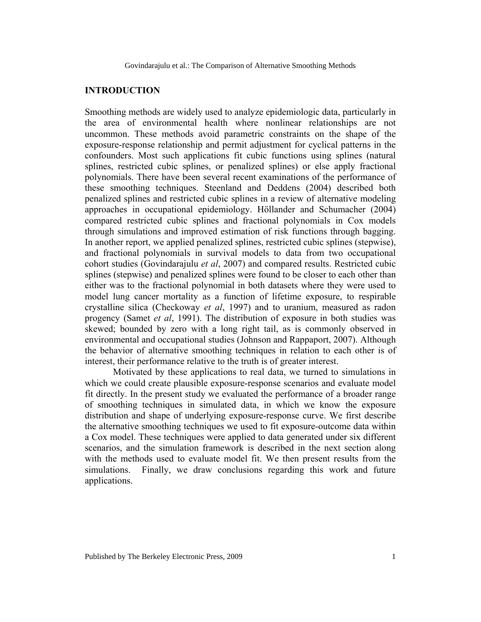### **INTRODUCTION**

Smoothing methods are widely used to analyze epidemiologic data, particularly in the area of environmental health where nonlinear relationships are not uncommon. These methods avoid parametric constraints on the shape of the exposure-response relationship and permit adjustment for cyclical patterns in the confounders. Most such applications fit cubic functions using splines (natural splines, restricted cubic splines, or penalized splines) or else apply fractional polynomials. There have been several recent examinations of the performance of these smoothing techniques. Steenland and Deddens (2004) described both penalized splines and restricted cubic splines in a review of alternative modeling approaches in occupational epidemiology. Höllander and Schumacher (2004) compared restricted cubic splines and fractional polynomials in Cox models through simulations and improved estimation of risk functions through bagging. In another report, we applied penalized splines, restricted cubic splines (stepwise), and fractional polynomials in survival models to data from two occupational cohort studies (Govindarajulu *et al*, 2007) and compared results. Restricted cubic splines (stepwise) and penalized splines were found to be closer to each other than either was to the fractional polynomial in both datasets where they were used to model lung cancer mortality as a function of lifetime exposure, to respirable crystalline silica (Checkoway *et al*, 1997) and to uranium, measured as radon progency (Samet *et al*, 1991). The distribution of exposure in both studies was skewed; bounded by zero with a long right tail, as is commonly observed in environmental and occupational studies (Johnson and Rappaport, 2007). Although the behavior of alternative smoothing techniques in relation to each other is of interest, their performance relative to the truth is of greater interest.

Motivated by these applications to real data, we turned to simulations in which we could create plausible exposure-response scenarios and evaluate model fit directly. In the present study we evaluated the performance of a broader range of smoothing techniques in simulated data, in which we know the exposure distribution and shape of underlying exposure-response curve. We first describe the alternative smoothing techniques we used to fit exposure-outcome data within a Cox model. These techniques were applied to data generated under six different scenarios, and the simulation framework is described in the next section along with the methods used to evaluate model fit. We then present results from the simulations. Finally, we draw conclusions regarding this work and future applications.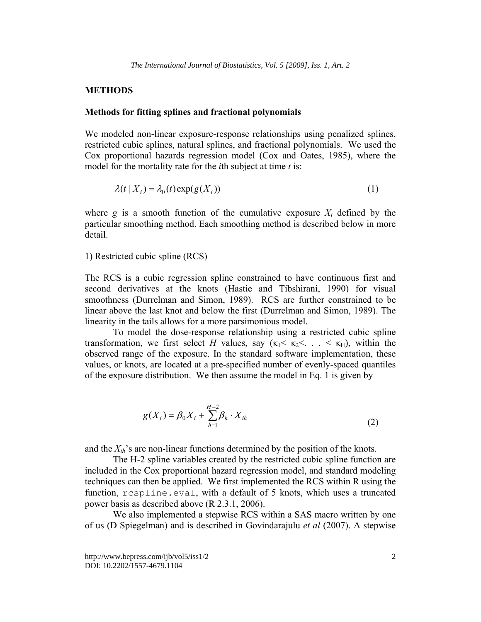#### **METHODS**

#### **Methods for fitting splines and fractional polynomials**

We modeled non-linear exposure-response relationships using penalized splines, restricted cubic splines, natural splines, and fractional polynomials. We used the Cox proportional hazards regression model (Cox and Oates, 1985), where the model for the mortality rate for the *i*th subject at time *t* is:

$$
\lambda(t \mid X_i) = \lambda_0(t) \exp(g(X_i)) \tag{1}
$$

where *g* is a smooth function of the cumulative exposure  $X_i$  defined by the particular smoothing method. Each smoothing method is described below in more detail.

1) Restricted cubic spline (RCS)

The RCS is a cubic regression spline constrained to have continuous first and second derivatives at the knots (Hastie and Tibshirani, 1990) for visual smoothness (Durrelman and Simon, 1989). RCS are further constrained to be linear above the last knot and below the first (Durrelman and Simon, 1989). The linearity in the tails allows for a more parsimonious model.

 To model the dose-response relationship using a restricted cubic spline transformation, we first select *H* values, say  $(\kappa_1 < \kappa_2 < \ldots < \kappa_H)$ , within the observed range of the exposure. In the standard software implementation, these values, or knots, are located at a pre-specified number of evenly-spaced quantiles of the exposure distribution. We then assume the model in Eq. 1 is given by

$$
g(X_i) = \beta_0 X_i + \sum_{h=1}^{H-2} \beta_h \cdot X_{ih}
$$
 (2)

and the  $X_{ih}$ 's are non-linear functions determined by the position of the knots.

The H-2 spline variables created by the restricted cubic spline function are included in the Cox proportional hazard regression model, and standard modeling techniques can then be applied. We first implemented the RCS within R using the function, rcspline.eval, with a default of 5 knots, which uses a truncated power basis as described above (R 2.3.1, 2006).

We also implemented a stepwise RCS within a SAS macro written by one of us (D Spiegelman) and is described in Govindarajulu *et al* (2007). A stepwise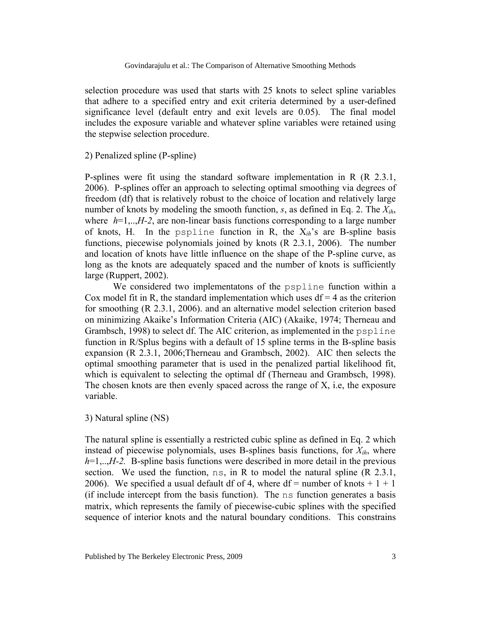selection procedure was used that starts with 25 knots to select spline variables that adhere to a specified entry and exit criteria determined by a user-defined significance level (default entry and exit levels are 0.05). The final model includes the exposure variable and whatever spline variables were retained using the stepwise selection procedure.

#### 2) Penalized spline (P-spline)

P-splines were fit using the standard software implementation in R (R 2.3.1, 2006). P-splines offer an approach to selecting optimal smoothing via degrees of freedom (df) that is relatively robust to the choice of location and relatively large number of knots by modeling the smooth function, *s*, as defined in Eq. 2. The *Xih*, where  $h=1,...,H-2$ , are non-linear basis functions corresponding to a large number of knots, H. In the pspline function in R, the X*ih*'s are B-spline basis functions, piecewise polynomials joined by knots (R 2.3.1, 2006). The number and location of knots have little influence on the shape of the P-spline curve, as long as the knots are adequately spaced and the number of knots is sufficiently large (Ruppert, 2002).

We considered two implementatons of the pspline function within a Cox model fit in R, the standard implementation which uses  $df = 4$  as the criterion for smoothing (R 2.3.1, 2006). and an alternative model selection criterion based on minimizing Akaike's Information Criteria (AIC) (Akaike, 1974; Therneau and Grambsch, 1998) to select df. The AIC criterion, as implemented in the pspline function in R/Splus begins with a default of 15 spline terms in the B-spline basis expansion (R 2.3.1, 2006;Therneau and Grambsch, 2002). AIC then selects the optimal smoothing parameter that is used in the penalized partial likelihood fit, which is equivalent to selecting the optimal df (Therneau and Grambsch, 1998). The chosen knots are then evenly spaced across the range of X, i.e, the exposure variable.

#### 3) Natural spline (NS)

The natural spline is essentially a restricted cubic spline as defined in Eq. 2 which instead of piecewise polynomials, uses B-splines basis functions, for  $X_{ih}$ , where *h*=1,..,*H-2.* B-spline basis functions were described in more detail in the previous section. We used the function,  $ns$ , in R to model the natural spline  $(R\ 2.3.1)$ , 2006). We specified a usual default df of 4, where df = number of knots  $+1+1$ (if include intercept from the basis function). The ns function generates a basis matrix, which represents the family of piecewise-cubic splines with the specified sequence of interior knots and the natural boundary conditions. This constrains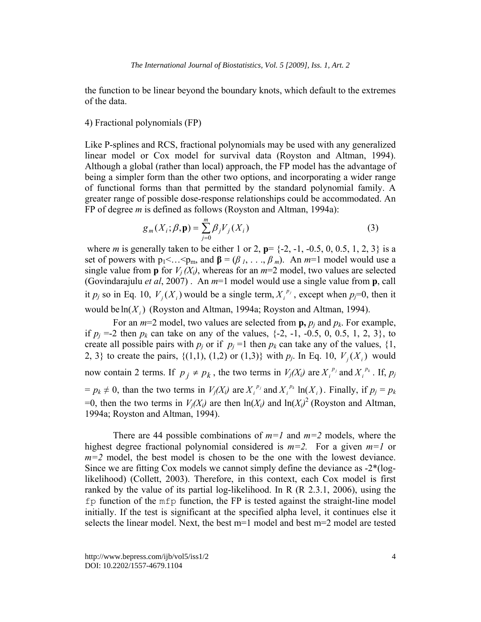the function to be linear beyond the boundary knots, which default to the extremes of the data.

#### 4) Fractional polynomials (FP)

Like P-splines and RCS, fractional polynomials may be used with any generalized linear model or Cox model for survival data (Royston and Altman, 1994). Although a global (rather than local) approach, the FP model has the advantage of being a simpler form than the other two options, and incorporating a wider range of functional forms than that permitted by the standard polynomial family. A greater range of possible dose-response relationships could be accommodated. An FP of degree *m* is defined as follows (Royston and Altman, 1994a):

$$
g_m(X_i; \beta, \mathbf{p}) = \sum_{j=0}^{m} \beta_j V_j(X_i)
$$
 (3)

 where *m* is generally taken to be either 1 or 2, **p**= {-2, -1, -0.5, 0, 0.5, 1, 2, 3} is a set of powers with  $p_1 < ... < p_m$ , and  $\beta = (\beta_1, ..., \beta_m)$ . An  $m=1$  model would use a single value from **p** for  $V_i(X_i)$ , whereas for an  $m=2$  model, two values are selected (Govindarajulu *et al*, 2007) . An *m*=1 model would use a single value from **p**, call it  $p_j$  so in Eq. 10,  $V_j(X_i)$  would be a single term,  $X_i^{p_j}$ , except when  $p_j=0$ , then it would be  $ln(X_i)$  (Royston and Altman, 1994a; Royston and Altman, 1994).

For an  $m=2$  model, two values are selected from  $\mathbf{p}, p_j$  and  $p_k$ . For example, if  $p_j = -2$  then  $p_k$  can take on any of the values,  $\{-2, -1, -0.5, 0, 0.5, 1, 2, 3\}$ , to create all possible pairs with  $p_j$  or if  $p_j = 1$  then  $p_k$  can take any of the values, {1,} 2, 3} to create the pairs,  $\{(1,1), (1,2) \text{ or } (1,3)\}$  with  $p_j$ . In Eq. 10,  $V_j(X_j)$  would now contain 2 terms. If  $p_i \neq p_k$ , the two terms in  $V_j(X_i)$  are  $X_i^{p_j}$  and  $X_i^{p_k}$ . If,  $p_j$  $=p_k \neq 0$ , than the two terms in  $V_j(X_i)$  are  $X_i^{p_j}$  and  $X_i^{p_k}$  ln( $X_i$ ). Finally, if  $p_j = p_k$ =0, then the two terms in  $V_j(X_i)$  are then  $ln(X_i)$  and  $ln(X_i)^2$  (Royston and Altman, 1994a; Royston and Altman, 1994).

There are 44 possible combinations of  $m=1$  and  $m=2$  models, where the highest degree fractional polynomial considered is *m=2.* For a given *m=1* or *m=2* model, the best model is chosen to be the one with the lowest deviance. Since we are fitting Cox models we cannot simply define the deviance as -2\*(loglikelihood) (Collett, 2003). Therefore, in this context, each Cox model is first ranked by the value of its partial log-likelihood. In R (R 2.3.1, 2006), using the fp function of the mfp function, the FP is tested against the straight-line model initially. If the test is significant at the specified alpha level, it continues else it selects the linear model. Next, the best m=1 model and best m=2 model are tested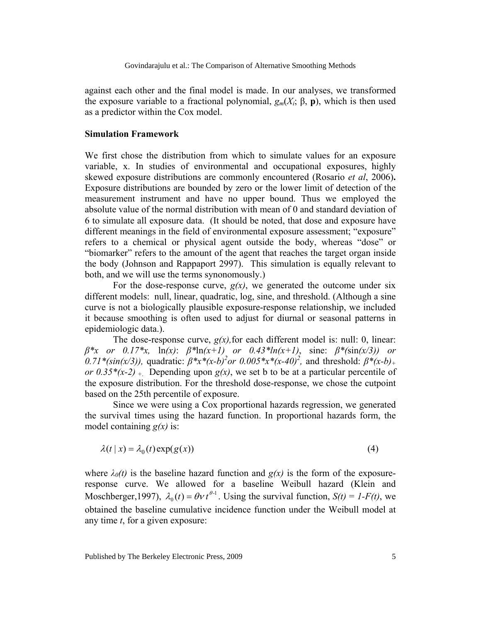against each other and the final model is made. In our analyses, we transformed the exposure variable to a fractional polynomial,  $g_m(X_i; \beta, \mathbf{p})$ , which is then used as a predictor within the Cox model.

#### **Simulation Framework**

We first chose the distribution from which to simulate values for an exposure variable, x. In studies of environmental and occupational exposures, highly skewed exposure distributions are commonly encountered (Rosario *et al*, 2006)**.**  Exposure distributions are bounded by zero or the lower limit of detection of the measurement instrument and have no upper bound. Thus we employed the absolute value of the normal distribution with mean of 0 and standard deviation of 6 to simulate all exposure data. (It should be noted, that dose and exposure have different meanings in the field of environmental exposure assessment; "exposure" refers to a chemical or physical agent outside the body, whereas "dose" or "biomarker" refers to the amount of the agent that reaches the target organ inside the body (Johnson and Rappaport 2997). This simulation is equally relevant to both, and we will use the terms synonomously.)

For the dose-response curve,  $g(x)$ , we generated the outcome under six different models: null, linear, quadratic, log, sine, and threshold. (Although a sine curve is not a biologically plausible exposure-response relationship, we included it because smoothing is often used to adjust for diurnal or seasonal patterns in epidemiologic data.).

The dose-response curve,  $g(x)$ , for each different model is: null: 0, linear: *β\*x or 0.17\*x,* ln*(x)*: *β\**ln*(x+1) or 0.43\*ln(x+1)*, sine: *β\*(*sin*(x/3)) or*   $(0.71*(sin(x/3))$ , quadratic:  $β*x*(x-b)^2$  *or*  $(0.005*x*(x-40)^2)$ , and threshold:  $β*(x-b)$ + *or*  $0.35*(x-2)$  + Depending upon  $g(x)$ , we set b to be at a particular percentile of the exposure distribution. For the threshold dose-response, we chose the cutpoint based on the 25th percentile of exposure.

Since we were using a Cox proportional hazards regression, we generated the survival times using the hazard function. In proportional hazards form, the model containing *g(x)* is:

$$
\lambda(t \mid x) = \lambda_0(t) \exp(g(x)) \tag{4}
$$

where  $\lambda_0(t)$  is the baseline hazard function and  $g(x)$  is the form of the exposureresponse curve. We allowed for a baseline Weibull hazard (Klein and Moschberger, 1997),  $\lambda_0(t) = \theta v t^{\theta-1}$ . Using the survival function,  $S(t) = I - F(t)$ , we obtained the baseline cumulative incidence function under the Weibull model at any time *t*, for a given exposure: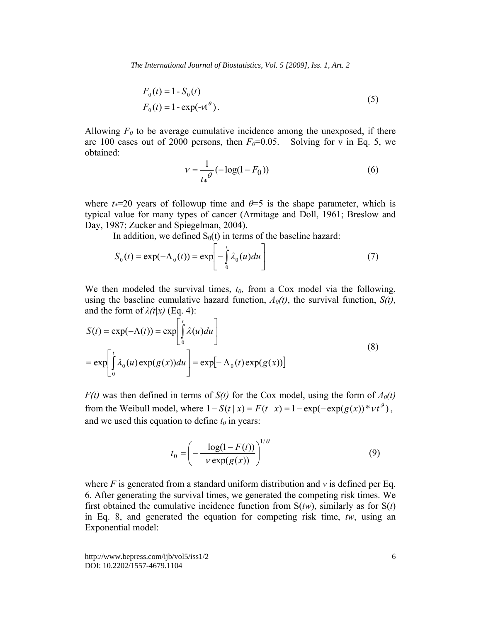*The International Journal of Biostatistics, Vol. 5 [2009], Iss. 1, Art. 2*

$$
F_0(t) = 1 - S_0(t)
$$
  
\n
$$
F_0(t) = 1 - \exp(-\nu t^{\theta}).
$$
\n(5)

Allowing  $F_0$  to be average cumulative incidence among the unexposed, if there are 100 cases out of 2000 persons, then  $F<sub>0</sub>=0.05$ . Solving for v in Eq. 5, we obtained:

$$
v = \frac{1}{t_* \theta} (-\log(1 - F_0))
$$
 (6)

where  $t=20$  years of followup time and  $\theta=5$  is the shape parameter, which is typical value for many types of cancer (Armitage and Doll, 1961; Breslow and Day, 1987; Zucker and Spiegelman, 2004).

In addition, we defined  $S_0(t)$  in terms of the baseline hazard:

$$
S_0(t) = \exp(-\Lambda_0(t)) = \exp\left[-\int_0^t \lambda_0(u)du\right]
$$
 (7)

We then modeled the survival times,  $t_0$ , from a Cox model via the following, using the baseline cumulative hazard function, *Λ0(t)*, the survival function, *S(t)*, and the form of  $\lambda(t|x)$  (Eq. 4):

$$
S(t) = \exp(-\Lambda(t)) = \exp\left[\int_{0}^{t} \lambda(u) du\right]
$$
  
= 
$$
\exp\left[\int_{0}^{t} \lambda_0(u) \exp(g(x)) du\right] = \exp[-\Lambda_0(t) \exp(g(x))]
$$
 (8)

*F(t)* was then defined in terms of *S(t)* for the Cox model, using the form of *Λ0(t)* from the Weibull model, where  $1 - S(t | x) = F(t | x) = 1 - \exp(-\exp(g(x)) * vt^9)$ , and we used this equation to define  $t_0$  in years:

$$
t_0 = \left(-\frac{\log(1 - F(t))}{\nu \exp(g(x))}\right)^{1/\theta} \tag{9}
$$

where *F* is generated from a standard uniform distribution and *v* is defined per Eq. 6. After generating the survival times, we generated the competing risk times. We first obtained the cumulative incidence function from  $S(tw)$ , similarly as for  $S(t)$ in Eq. 8, and generated the equation for competing risk time, *tw*, using an Exponential model: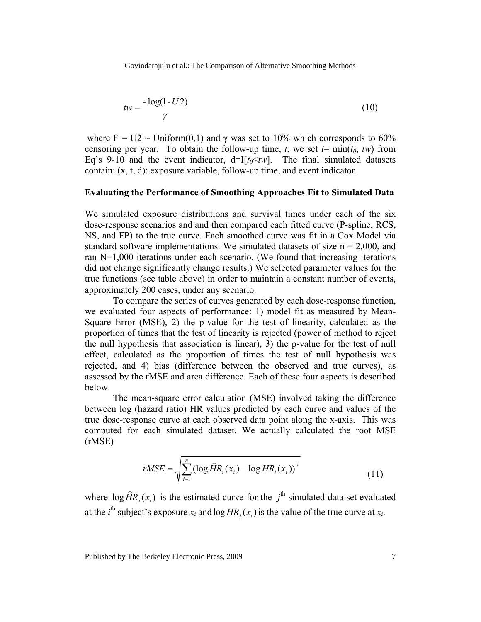$$
tw = \frac{-\log(1 - U\,2)}{\gamma} \tag{10}
$$

where  $F = U2 \sim \text{Uniform}(0,1)$  and  $\gamma$  was set to 10% which corresponds to 60% censoring per year. To obtain the follow-up time, *t*, we set  $t = min(t_0, tw)$  from Eq's 9-10 and the event indicator,  $d=I[t_0 \leq tw]$ . The final simulated datasets contain: (x, t, d): exposure variable, follow-up time, and event indicator.

#### **Evaluating the Performance of Smoothing Approaches Fit to Simulated Data**

We simulated exposure distributions and survival times under each of the six dose-response scenarios and and then compared each fitted curve (P-spline, RCS, NS, and FP) to the true curve. Each smoothed curve was fit in a Cox Model via standard software implementations. We simulated datasets of size  $n = 2,000$ , and ran N=1,000 iterations under each scenario. (We found that increasing iterations did not change significantly change results.) We selected parameter values for the true functions (see table above) in order to maintain a constant number of events, approximately 200 cases, under any scenario.

To compare the series of curves generated by each dose-response function, we evaluated four aspects of performance: 1) model fit as measured by Mean-Square Error (MSE), 2) the p-value for the test of linearity, calculated as the proportion of times that the test of linearity is rejected (power of method to reject the null hypothesis that association is linear), 3) the p-value for the test of null effect, calculated as the proportion of times the test of null hypothesis was rejected, and 4) bias (difference between the observed and true curves), as assessed by the rMSE and area difference. Each of these four aspects is described below.

The mean-square error calculation (MSE) involved taking the difference between log (hazard ratio) HR values predicted by each curve and values of the true dose-response curve at each observed data point along the x-axis. This was computed for each simulated dataset. We actually calculated the root MSE (rMSE)

$$
rMSE = \sqrt{\sum_{i=1}^{n} (\log \widehat{H}R_i(x_i) - \log HR_i(x_i))^2}
$$
(11)

where  $\log \widehat{H}R_j(x_i)$  is the estimated curve for the  $j^{\text{th}}$  simulated data set evaluated at the *i*<sup>th</sup> subject's exposure  $x_i$  and  $\log HR_i(x_i)$  is the value of the true curve at  $x_i$ .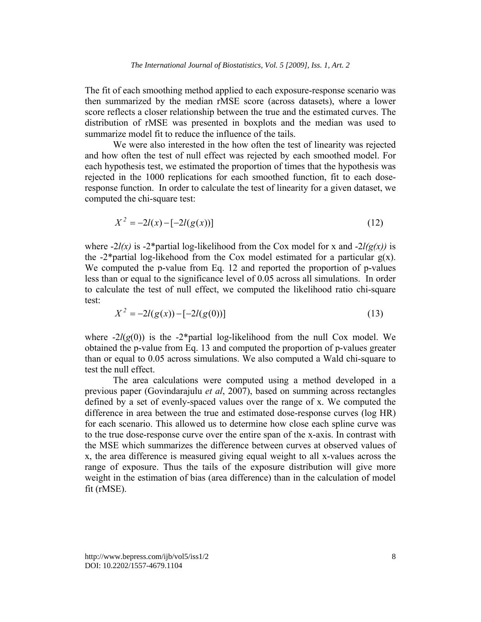The fit of each smoothing method applied to each exposure-response scenario was then summarized by the median rMSE score (across datasets), where a lower score reflects a closer relationship between the true and the estimated curves. The distribution of rMSE was presented in boxplots and the median was used to summarize model fit to reduce the influence of the tails.

We were also interested in the how often the test of linearity was rejected and how often the test of null effect was rejected by each smoothed model. For each hypothesis test, we estimated the proportion of times that the hypothesis was rejected in the 1000 replications for each smoothed function, fit to each doseresponse function. In order to calculate the test of linearity for a given dataset, we computed the chi-square test:

$$
X^2 = -2l(x) - [-2l(g(x))]
$$
\n(12)

where  $-2l(x)$  is  $-2*$  partial log-likelihood from the Cox model for x and  $-2l(g(x))$  is the  $-2^*$ partial log-likehood from the Cox model estimated for a particular  $g(x)$ . We computed the p-value from Eq. 12 and reported the proportion of p-values less than or equal to the significance level of 0.05 across all simulations. In order to calculate the test of null effect, we computed the likelihood ratio chi-square test:

$$
X^2 = -2l(g(x)) - [-2l(g(0))]
$$
\n(13)

where  $-2l(g(0))$  is the  $-2*$  partial log-likelihood from the null Cox model. We obtained the p-value from Eq. 13 and computed the proportion of p-values greater than or equal to 0.05 across simulations. We also computed a Wald chi-square to test the null effect.

The area calculations were computed using a method developed in a previous paper (Govindarajulu *et al*, 2007), based on summing across rectangles defined by a set of evenly-spaced values over the range of x. We computed the difference in area between the true and estimated dose-response curves (log HR) for each scenario. This allowed us to determine how close each spline curve was to the true dose-response curve over the entire span of the x-axis. In contrast with the MSE which summarizes the difference between curves at observed values of x, the area difference is measured giving equal weight to all x-values across the range of exposure. Thus the tails of the exposure distribution will give more weight in the estimation of bias (area difference) than in the calculation of model fit (rMSE).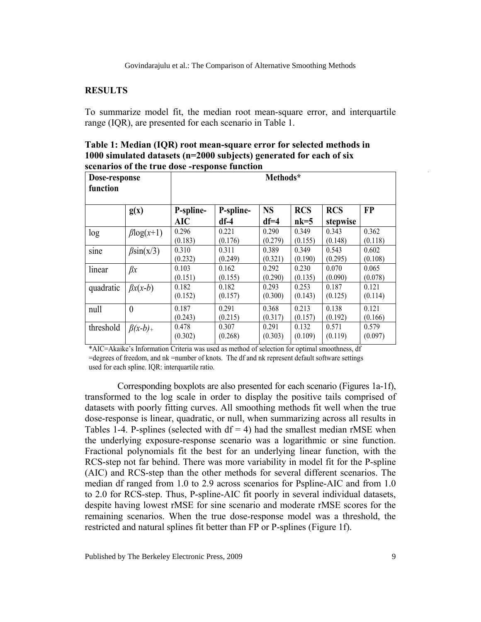### **RESULTS**

To summarize model fit, the median root mean-square error, and interquartile range (IQR), are presented for each scenario in Table 1.

**Table 1: Median (IQR) root mean-square error for selected methods in 1000 simulated datasets (n=2000 subjects) generated for each of six scenarios of the true dose -response function** 

| Dose-response<br>function |                  | Methods*                |                     |                     |                      |                        |                  |
|---------------------------|------------------|-------------------------|---------------------|---------------------|----------------------|------------------------|------------------|
|                           | g(x)             | P-spline-<br><b>AIC</b> | P-spline-<br>$df-4$ | <b>NS</b><br>$df=4$ | <b>RCS</b><br>$nk=5$ | <b>RCS</b><br>stepwise | <b>FP</b>        |
| log                       | $\beta$ log(x+1) | 0.296<br>(0.183)        | 0.221<br>(0.176)    | 0.290<br>(0.279)    | 0.349<br>(0.155)     | 0.343<br>(0.148)       | 0.362<br>(0.118) |
| sine                      | $\beta$ sin(x/3) | 0.310<br>(0.232)        | 0.311<br>(0.249)    | 0.389<br>(0.321)    | 0.349<br>(0.190)     | 0.543<br>(0.295)       | 0.602<br>(0.108) |
| linear                    | $\beta x$        | 0.103<br>(0.151)        | 0.162<br>(0.155)    | 0.292<br>(0.290)    | 0.230<br>(0.135)     | 0.070<br>(0.090)       | 0.065<br>(0.078) |
| quadratic                 | $\beta x(x-b)$   | 0.182<br>(0.152)        | 0.182<br>(0.157)    | 0.293<br>(0.300)    | 0.253<br>(0.143)     | 0.187<br>(0.125)       | 0.121<br>(0.114) |
| null                      | $\theta$         | 0.187<br>(0.243)        | 0.291<br>(0.215)    | 0.368<br>(0.317)    | 0.213<br>(0.157)     | 0.138<br>(0.192)       | 0.121<br>(0.166) |
| threshold                 | $\beta(x-b)_+$   | 0.478<br>(0.302)        | 0.307<br>(0.268)    | 0.291<br>(0.303)    | 0.132<br>(0.109)     | 0.571<br>(0.119)       | 0.579<br>(0.097) |

\*AIC=Akaike's Information Criteria was used as method of selection for optimal smoothness, df

=degrees of freedom, and nk =number of knots. The df and nk represent default software settings used for each spline. IQR: interquartile ratio.

Corresponding boxplots are also presented for each scenario (Figures 1a-1f), transformed to the log scale in order to display the positive tails comprised of datasets with poorly fitting curves. All smoothing methods fit well when the true dose-response is linear, quadratic, or null, when summarizing across all results in Tables 1-4. P-splines (selected with  $df = 4$ ) had the smallest median rMSE when the underlying exposure-response scenario was a logarithmic or sine function. Fractional polynomials fit the best for an underlying linear function, with the RCS-step not far behind. There was more variability in model fit for the P-spline (AIC) and RCS-step than the other methods for several different scenarios. The median df ranged from 1.0 to 2.9 across scenarios for Pspline-AIC and from 1.0 to 2.0 for RCS-step. Thus, P-spline-AIC fit poorly in several individual datasets, despite having lowest rMSE for sine scenario and moderate rMSE scores for the remaining scenarios. When the true dose-response model was a threshold, the restricted and natural splines fit better than FP or P-splines (Figure 1f).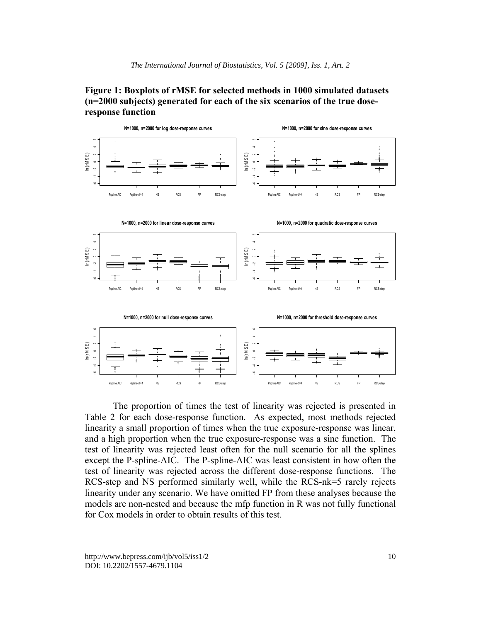## **Figure 1: Boxplots of rMSE for selected methods in 1000 simulated datasets (n=2000 subjects) generated for each of the six scenarios of the true doseresponse function**



The proportion of times the test of linearity was rejected is presented in Table 2 for each dose-response function. As expected, most methods rejected linearity a small proportion of times when the true exposure-response was linear, and a high proportion when the true exposure-response was a sine function. The test of linearity was rejected least often for the null scenario for all the splines except the P-spline-AIC. The P-spline-AIC was least consistent in how often the test of linearity was rejected across the different dose-response functions. The RCS-step and NS performed similarly well, while the RCS-nk=5 rarely rejects linearity under any scenario. We have omitted FP from these analyses because the models are non-nested and because the mfp function in R was not fully functional for Cox models in order to obtain results of this test.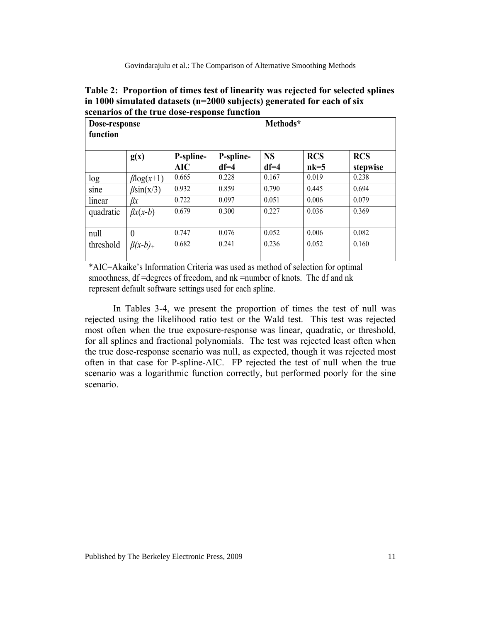| Table 2: Proportion of times test of linearity was rejected for selected splines |
|----------------------------------------------------------------------------------|
| in 1000 simulated datasets ( $n=2000$ subjects) generated for each of six        |
| scenarios of the true dose-response function                                     |

| Dose-response<br>function |                  | Methods*         |                     |                     |                      |                        |  |  |
|---------------------------|------------------|------------------|---------------------|---------------------|----------------------|------------------------|--|--|
|                           | g(x)             | P-spline-<br>AIC | P-spline-<br>$df=4$ | <b>NS</b><br>$df=4$ | <b>RCS</b><br>$nk=5$ | <b>RCS</b><br>stepwise |  |  |
| log                       | $\beta$ log(x+1) | 0.665            | 0.228               | 0.167               | 0.019                | 0.238                  |  |  |
| sine                      | $\beta$ sin(x/3) | 0.932            | 0.859               | 0.790               | 0.445                | 0.694                  |  |  |
| linear                    | βx               | 0.722            | 0.097               | 0.051               | 0.006                | 0.079                  |  |  |
| quadratic                 | $\beta x(x-b)$   | 0.679            | 0.300               | 0.227               | 0.036                | 0.369                  |  |  |
| null                      | $\theta$         | 0.747            | 0.076               | 0.052               | 0.006                | 0.082                  |  |  |
| threshold                 | $\beta(x-b)_{+}$ | 0.682            | 0.241               | 0.236               | 0.052                | 0.160                  |  |  |

\*AIC=Akaike's Information Criteria was used as method of selection for optimal smoothness, df =degrees of freedom, and nk =number of knots. The df and nk represent default software settings used for each spline.

In Tables 3-4, we present the proportion of times the test of null was rejected using the likelihood ratio test or the Wald test. This test was rejected most often when the true exposure-response was linear, quadratic, or threshold, for all splines and fractional polynomials. The test was rejected least often when the true dose-response scenario was null, as expected, though it was rejected most often in that case for P-spline-AIC. FP rejected the test of null when the true scenario was a logarithmic function correctly, but performed poorly for the sine scenario.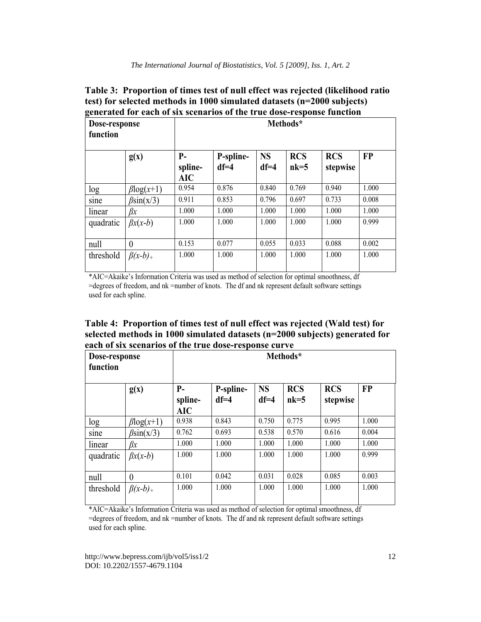| Table 3: Proportion of times test of null effect was rejected (likelihood ratio |
|---------------------------------------------------------------------------------|
| test) for selected methods in 1000 simulated datasets (n=2000 subjects)         |
| generated for each of six scenarios of the true dose-response function          |

| Dose-response<br>function |                  | Methods*                      |                     |                     |                      |                        |           |  |
|---------------------------|------------------|-------------------------------|---------------------|---------------------|----------------------|------------------------|-----------|--|
|                           | g(x)             | $P-$<br>spline-<br><b>AIC</b> | P-spline-<br>$df=4$ | <b>NS</b><br>$df=4$ | <b>RCS</b><br>$nk=5$ | <b>RCS</b><br>stepwise | <b>FP</b> |  |
| log                       | $\beta$ log(x+1) | 0.954                         | 0.876               | 0.840               | 0.769                | 0.940                  | 1.000     |  |
| sine                      | $\beta$ sin(x/3) | 0.911                         | 0.853               | 0.796               | 0.697                | 0.733                  | 0.008     |  |
| linear                    | βx               | 1.000                         | 1.000               | 1.000               | 1.000                | 1.000                  | 1.000     |  |
| quadratic                 | $\beta x(x-b)$   | 1.000                         | 1.000               | 1.000               | 1.000                | 1.000                  | 0.999     |  |
| null                      | $\overline{0}$   | 0.153                         | 0.077               | 0.055               | 0.033                | 0.088                  | 0.002     |  |
| threshold                 | $\beta(x-b)_+$   | 1.000                         | 1.000               | 1.000               | 1.000                | 1.000                  | 1.000     |  |

\*AIC=Akaike's Information Criteria was used as method of selection for optimal smoothness, df =degrees of freedom, and nk =number of knots. The df and nk represent default software settings used for each spline.

**Table 4: Proportion of times test of null effect was rejected (Wald test) for selected methods in 1000 simulated datasets (n=2000 subjects) generated for each of six scenarios of the true dose-response curve** 

| Dose-response<br>function |                  | Methods*               |                     |                       |                      |                        |           |
|---------------------------|------------------|------------------------|---------------------|-----------------------|----------------------|------------------------|-----------|
|                           | g(x)             | $P-$<br>spline-<br>AIC | P-spline-<br>$df=4$ | <b>NS</b><br>$df = 4$ | <b>RCS</b><br>$nk=5$ | <b>RCS</b><br>stepwise | <b>FP</b> |
| log                       | $\beta$ log(x+1) | 0.938                  | 0.843               | 0.750                 | 0.775                | 0.995                  | 1.000     |
| sine                      | $\beta$ sin(x/3) | 0.762                  | 0.693               | 0.538                 | 0.570                | 0.616                  | 0.004     |
| linear                    | βx               | 1.000                  | 1.000               | 1.000                 | 1.000                | 1.000                  | 1.000     |
| quadratic                 | $\beta x(x-b)$   | 1.000                  | 1.000               | 1.000                 | 1.000                | 1.000                  | 0.999     |
| null                      | $\theta$         | 0.101                  | 0.042               | 0.031                 | 0.028                | 0.085                  | 0.003     |
| threshold                 | $\beta(x-b)_+$   | 1.000                  | 1.000               | 1.000                 | 1.000                | 1.000                  | 1.000     |

\*AIC=Akaike's Information Criteria was used as method of selection for optimal smoothness, df =degrees of freedom, and nk =number of knots. The df and nk represent default software settings used for each spline.

http://www.bepress.com/ijb/vol5/iss1/2 DOI: 10.2202/1557-4679.1104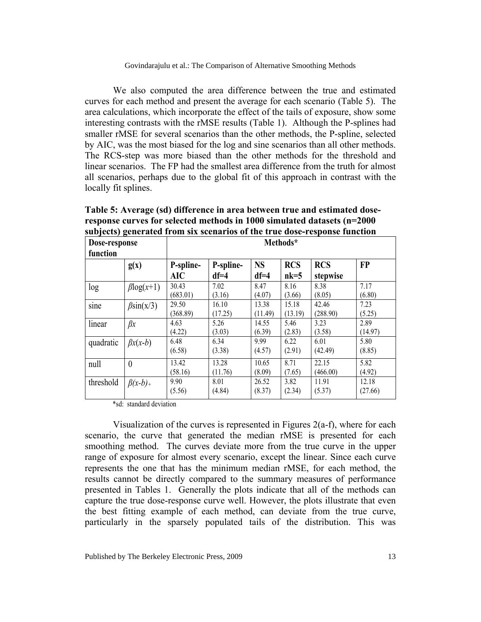We also computed the area difference between the true and estimated curves for each method and present the average for each scenario (Table 5). The area calculations, which incorporate the effect of the tails of exposure, show some interesting contrasts with the rMSE results (Table 1). Although the P-splines had smaller rMSE for several scenarios than the other methods, the P-spline, selected by AIC, was the most biased for the log and sine scenarios than all other methods. The RCS-step was more biased than the other methods for the threshold and linear scenarios. The FP had the smallest area difference from the truth for almost all scenarios, perhaps due to the global fit of this approach in contrast with the locally fit splines.

| Dose-response<br>function |                  | Methods*                |                     |                     |                      |                        |                  |  |
|---------------------------|------------------|-------------------------|---------------------|---------------------|----------------------|------------------------|------------------|--|
|                           | g(x)             | P-spline-<br><b>AIC</b> | P-spline-<br>$df=4$ | <b>NS</b><br>$df=4$ | <b>RCS</b><br>$nk=5$ | <b>RCS</b><br>stepwise | <b>FP</b>        |  |
| log                       | $\beta$ log(x+1) | 30.43<br>(683.01)       | 7.02<br>(3.16)      | 8.47<br>(4.07)      | 8.16<br>(3.66)       | 8.38<br>(8.05)         | 7.17<br>(6.80)   |  |
| sine                      | $\beta$ sin(x/3) | 29.50<br>(368.89)       | 16.10<br>(17.25)    | 13.38<br>(11.49)    | 15.18<br>(13.19)     | 42.46<br>(288.90)      | 7.23<br>(5.25)   |  |
| linear                    | $\beta x$        | 4.63<br>(4.22)          | 5.26<br>(3.03)      | 14.55<br>(6.39)     | 5.46<br>(2.83)       | 3.23<br>(3.58)         | 2.89<br>(14.97)  |  |
| quadratic                 | $\beta x(x-b)$   | 6.48<br>(6.58)          | 6.34<br>(3.38)      | 9.99<br>(4.57)      | 6.22<br>(2.91)       | 6.01<br>(42.49)        | 5.80<br>(8.85)   |  |
| null                      | $\overline{0}$   | 13.42<br>(58.16)        | 13.28<br>(11.76)    | 10.65<br>(8.09)     | 8.71<br>(7.65)       | 22.15<br>(466.00)      | 5.82<br>(4.92)   |  |
| threshold                 | $\beta(x-b)_{+}$ | 9.90<br>(5.56)          | 8.01<br>(4.84)      | 26.52<br>(8.37)     | 3.82<br>(2.34)       | 11.91<br>(5.37)        | 12.18<br>(27.66) |  |

**Table 5: Average (sd) difference in area between true and estimated doseresponse curves for selected methods in 1000 simulated datasets (n=2000 subjects) generated from six scenarios of the true dose-response function** 

\*sd: standard deviation

Visualization of the curves is represented in Figures 2(a-f), where for each scenario, the curve that generated the median rMSE is presented for each smoothing method. The curves deviate more from the true curve in the upper range of exposure for almost every scenario, except the linear. Since each curve represents the one that has the minimum median rMSE, for each method, the results cannot be directly compared to the summary measures of performance presented in Tables 1. Generally the plots indicate that all of the methods can capture the true dose-response curve well. However, the plots illustrate that even the best fitting example of each method, can deviate from the true curve, particularly in the sparsely populated tails of the distribution. This was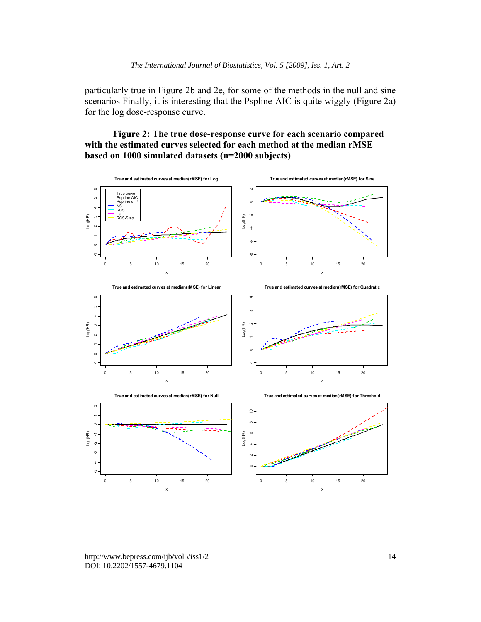particularly true in Figure 2b and 2e, for some of the methods in the null and sine scenarios Finally, it is interesting that the Pspline-AIC is quite wiggly (Figure 2a) for the log dose-response curve.

## **Figure 2: The true dose-response curve for each scenario compared with the estimated curves selected for each method at the median rMSE based on 1000 simulated datasets (n=2000 subjects)**



http://www.bepress.com/ijb/vol5/iss1/2 DOI: 10.2202/1557-4679.1104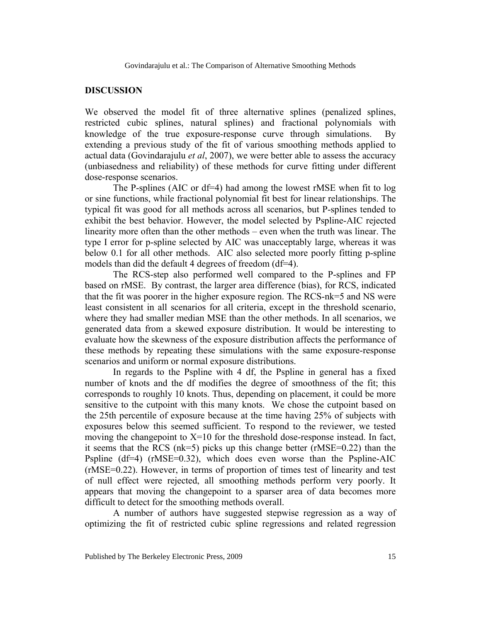#### **DISCUSSION**

We observed the model fit of three alternative splines (penalized splines, restricted cubic splines, natural splines) and fractional polynomials with knowledge of the true exposure-response curve through simulations. By extending a previous study of the fit of various smoothing methods applied to actual data (Govindarajulu *et al*, 2007), we were better able to assess the accuracy (unbiasedness and reliability) of these methods for curve fitting under different dose-response scenarios.

The P-splines (AIC or df=4) had among the lowest rMSE when fit to log or sine functions, while fractional polynomial fit best for linear relationships. The typical fit was good for all methods across all scenarios, but P-splines tended to exhibit the best behavior. However, the model selected by Pspline-AIC rejected linearity more often than the other methods – even when the truth was linear. The type I error for p-spline selected by AIC was unacceptably large, whereas it was below 0.1 for all other methods. AIC also selected more poorly fitting p-spline models than did the default 4 degrees of freedom (df=4).

The RCS-step also performed well compared to the P-splines and FP based on rMSE. By contrast, the larger area difference (bias), for RCS, indicated that the fit was poorer in the higher exposure region. The RCS-nk=5 and NS were least consistent in all scenarios for all criteria, except in the threshold scenario, where they had smaller median MSE than the other methods. In all scenarios, we generated data from a skewed exposure distribution. It would be interesting to evaluate how the skewness of the exposure distribution affects the performance of these methods by repeating these simulations with the same exposure-response scenarios and uniform or normal exposure distributions.

In regards to the Pspline with 4 df, the Pspline in general has a fixed number of knots and the df modifies the degree of smoothness of the fit; this corresponds to roughly 10 knots. Thus, depending on placement, it could be more sensitive to the cutpoint with this many knots. We chose the cutpoint based on the 25th percentile of exposure because at the time having 25% of subjects with exposures below this seemed sufficient. To respond to the reviewer, we tested moving the changepoint to  $X=10$  for the threshold dose-response instead. In fact, it seems that the RCS (nk=5) picks up this change better (rMSE=0.22) than the Pspline (df=4) (rMSE=0.32), which does even worse than the Pspline-AIC (rMSE=0.22). However, in terms of proportion of times test of linearity and test of null effect were rejected, all smoothing methods perform very poorly. It appears that moving the changepoint to a sparser area of data becomes more difficult to detect for the smoothing methods overall.

A number of authors have suggested stepwise regression as a way of optimizing the fit of restricted cubic spline regressions and related regression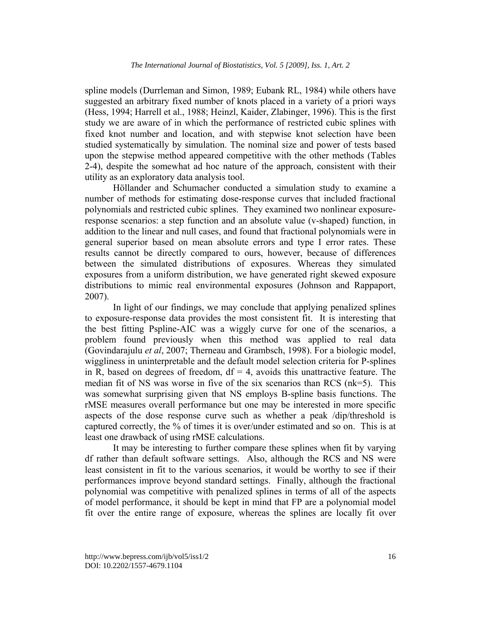spline models (Durrleman and Simon, 1989; Eubank RL, 1984) while others have suggested an arbitrary fixed number of knots placed in a variety of a priori ways (Hess, 1994; Harrell et al., 1988; Heinzl, Kaider, Zlabinger, 1996). This is the first study we are aware of in which the performance of restricted cubic splines with fixed knot number and location, and with stepwise knot selection have been studied systematically by simulation. The nominal size and power of tests based upon the stepwise method appeared competitive with the other methods (Tables 2-4), despite the somewhat ad hoc nature of the approach, consistent with their utility as an exploratory data analysis tool.

Höllander and Schumacher conducted a simulation study to examine a number of methods for estimating dose-response curves that included fractional polynomials and restricted cubic splines. They examined two nonlinear exposureresponse scenarios: a step function and an absolute value (v-shaped) function, in addition to the linear and null cases, and found that fractional polynomials were in general superior based on mean absolute errors and type I error rates. These results cannot be directly compared to ours, however, because of differences between the simulated distributions of exposures. Whereas they simulated exposures from a uniform distribution, we have generated right skewed exposure distributions to mimic real environmental exposures (Johnson and Rappaport, 2007).

In light of our findings, we may conclude that applying penalized splines to exposure-response data provides the most consistent fit. It is interesting that the best fitting Pspline-AIC was a wiggly curve for one of the scenarios, a problem found previously when this method was applied to real data (Govindarajulu *et al*, 2007; Therneau and Grambsch, 1998). For a biologic model, wiggliness in uninterpretable and the default model selection criteria for P-splines in R, based on degrees of freedom,  $df = 4$ , avoids this unattractive feature. The median fit of NS was worse in five of the six scenarios than RCS (nk=5). This was somewhat surprising given that NS employs B-spline basis functions. The rMSE measures overall performance but one may be interested in more specific aspects of the dose response curve such as whether a peak /dip/threshold is captured correctly, the % of times it is over/under estimated and so on. This is at least one drawback of using rMSE calculations.

It may be interesting to further compare these splines when fit by varying df rather than default software settings. Also, although the RCS and NS were least consistent in fit to the various scenarios, it would be worthy to see if their performances improve beyond standard settings. Finally, although the fractional polynomial was competitive with penalized splines in terms of all of the aspects of model performance, it should be kept in mind that FP are a polynomial model fit over the entire range of exposure, whereas the splines are locally fit over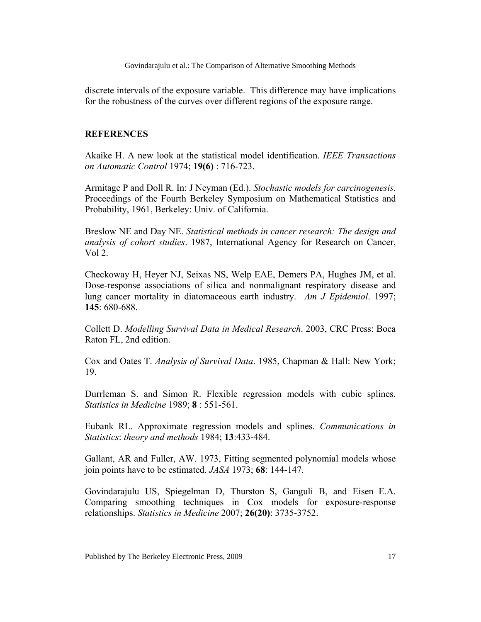discrete intervals of the exposure variable. This difference may have implications for the robustness of the curves over different regions of the exposure range.

### **REFERENCES**

Akaike H. A new look at the statistical model identification. *IEEE Transactions on Automatic Control* 1974; **19(6)** : 716-723.

Armitage P and Doll R. In: J Neyman (Ed.). *Stochastic models for carcinogenesis*. Proceedings of the Fourth Berkeley Symposium on Mathematical Statistics and Probability, 1961, Berkeley: Univ. of California.

Breslow NE and Day NE. *Statistical methods in cancer research: The design and analysis of cohort studies*. 1987, International Agency for Research on Cancer, Vol 2.

Checkoway H, Heyer NJ, Seixas NS, Welp EAE, Demers PA, Hughes JM, et al. Dose-response associations of silica and nonmalignant respiratory disease and lung cancer mortality in diatomaceous earth industry. *Am J Epidemiol*. 1997; **145**: 680-688.

Collett D. *Modelling Survival Data in Medical Research*. 2003, CRC Press: Boca Raton FL, 2nd edition.

Cox and Oates T. *Analysis of Survival Data*. 1985, Chapman & Hall: New York; 19.

Durrleman S. and Simon R. Flexible regression models with cubic splines. *Statistics in Medicine* 1989; **8** : 551-561.

Eubank RL. Approximate regression models and splines. *Communications in Statistics*: *theory and methods* 1984; **13**:433-484.

Gallant, AR and Fuller, AW. 1973, Fitting segmented polynomial models whose join points have to be estimated. *JASA* 1973; **68**: 144-147.

Govindarajulu US, Spiegelman D, Thurston S, Ganguli B, and Eisen E.A. Comparing smoothing techniques in Cox models for exposure-response relationships. *Statistics in Medicine* 2007; **26(20)**: 3735-3752.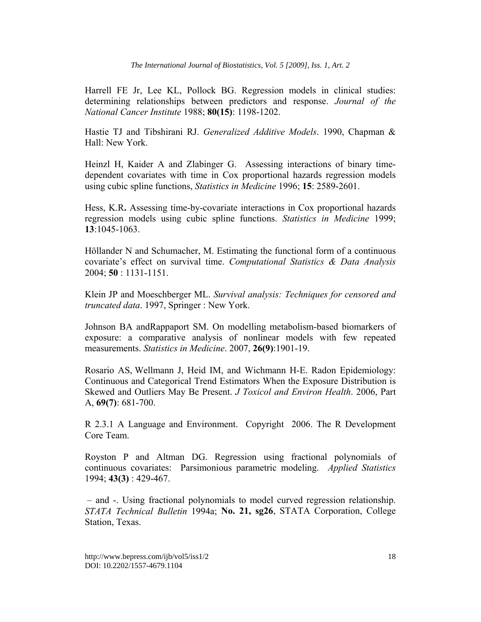Harrell FE Jr, Lee KL, Pollock BG. Regression models in clinical studies: determining relationships between predictors and response. *Journal of the National Cancer Institute* 1988; **80(15)**: 1198-1202.

Hastie TJ and Tibshirani RJ. *Generalized Additive Models*. 1990, Chapman & Hall: New York.

Heinzl H, Kaider A and Zlabinger G. Assessing interactions of binary timedependent covariates with time in Cox proportional hazards regression models using cubic spline functions, *Statistics in Medicine* 1996; **15**: 2589-2601.

Hess, K.R**.** Assessing time-by-covariate interactions in Cox proportional hazards regression models using cubic spline functions. *Statistics in Medicine* 1999; **13**:1045-1063.

Höllander N and Schumacher, M. Estimating the functional form of a continuous covariate's effect on survival time. *Computational Statistics & Data Analysis*  2004; **50** : 1131-1151.

Klein JP and Moeschberger ML. *Survival analysis: Techniques for censored and truncated data*. 1997, Springer : New York.

Johnson BA andRappaport SM. On modelling metabolism-based biomarkers of exposure: a comparative analysis of nonlinear models with few repeated measurements. *Statistics in Medicine*. 2007, **26(9)**:1901-19.

Rosario AS, Wellmann J, Heid IM, and Wichmann H-E. Radon Epidemiology: Continuous and Categorical Trend Estimators When the Exposure Distribution is Skewed and Outliers May Be Present. *J Toxicol and Environ Health*. 2006, Part A, **69(7)**: 681-700.

R 2.3.1 A Language and Environment. Copyright 2006. The R Development Core Team.

Royston P and Altman DG. Regression using fractional polynomials of continuous covariates: Parsimonious parametric modeling. *Applied Statistics*  1994; **43(3)** : 429-467.

 – and -. Using fractional polynomials to model curved regression relationship. *STATA Technical Bulletin* 1994a; **No. 21, sg26**, STATA Corporation, College Station, Texas.